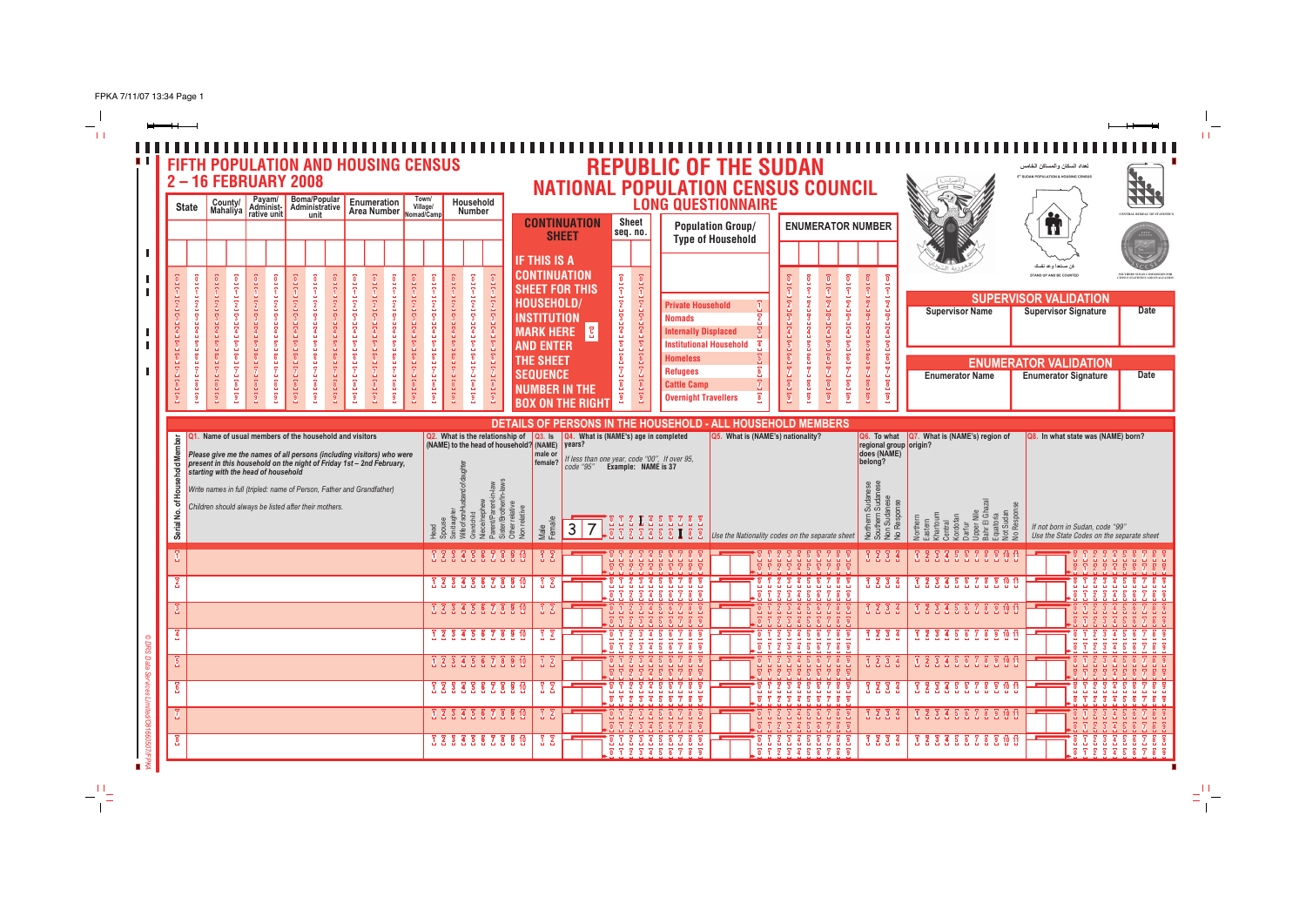$-\frac{1}{11}$ 

| <b>IF THIS IS A</b><br>كن مستعدا وعد نفسك<br><b>CONTINUATION</b><br>$\overline{\mathbf{0}}$<br>STAND UP AND BE COUNTED<br><b>SHEET FOR THIS</b><br>Ŧ.<br>ī<br><b>SUPERVISOR VALIDATION</b><br>HOUSEHOLD/<br>$[ \begin{smallmatrix} 1 & 0 & 0 \\ 0 & 0 & 0 \\ 0 & 0 & 0 \\ 0 & 0 & 0 \\ 0 & 0 & 0 \\ 0 & 0 & 0 \\ 0 & 0 & 0 \\ 0 & 0 & 0 \\ 0 & 0 & 0 \\ 0 & 0 & 0 \\ 0 & 0 & 0 \\ 0 & 0 & 0 \\ 0 & 0 & 0 \\ 0 & 0 & 0 & 0 \\ 0 & 0 & 0 & 0 \\ 0 & 0 & 0 & 0 \\ 0 & 0 & 0 & 0 & 0 \\ 0 & 0 & 0 & 0 & 0 \\ 0 & 0 & 0 & 0 & 0 \\ 0 & 0 & 0 & 0 & 0 &$<br><b>Private Household</b><br><b>Supervisor Signature</b><br><b>Supervisor Name</b><br><b>INSTITUTION</b><br>$\overline{\mathbf{3}}$<br><b>Nomads</b><br>$\overline{\mathbf{g}}$<br>$\overline{4}$<br>$\overline{4}$<br><b>MARK HERE</b><br><b>Internally Displaced</b><br>$\begin{bmatrix} 2 \\ -1 \end{bmatrix}$<br>$\overline{\mathbf{5}}$<br><b>Institutional Household</b><br><b>AND ENTER</b><br>6<br><b>Homeless</b><br>THE SHEET<br><b>ENUMERATOR VALIDATION</b><br><b>Refugees</b><br><b>SEQUENCE</b><br><b>Enumerator Name</b><br><b>Enumerator Signature</b><br>[פס] [פס]<br><b>Cattle Camp</b><br><b>NUMBER IN THE</b><br><b>Overnight Travellers</b><br><b>BOX ON THE RIGHT</b><br>DETAILS OF PERSONS IN THE HOUSEHOLD - ALL HOUSEHOLD MEMBERS<br><b>Q4.</b> What is (NAME's) age in completed<br>Q2. What is the relationship of Q3. Is Q4. WI<br>(NAME) to the head of household? (NAME) years?<br>Q5. What is (NAME's) nationality?<br>Name of usual members of the household and visitors<br>Q7. What is (NAME's) region of<br>Q8. In what state was (NAME) born?<br>Q6. To what<br><b>Member</b><br>regional group origin?<br>does (NAME)<br>Please give me the names of all persons (including visitors) who were<br>male or<br>If less than one year, code "00", If over 95,<br>code "95" <b>Example: NAME is 37</b><br>belong?<br>present in this household on the night of Friday 1st - 2nd February,<br>female?<br>of Household<br>starting with the head of household<br>Write names in full (tripled: name of Person, Father and Grandfather)<br>Sudan<br>Sudar<br>Southern Sudar<br>Non Sudanese<br>No Response<br>ece/nephew<br>/Brother,<br>Children should always be listed after their mothers.<br>lon relative<br>fife of son/Hu<br>Serial No.<br>Nile<br>Northern <sup>9</sup><br>astern<br>hartoum<br>entral<br>ordofan<br>$\begin{array}{rrrrrrrrrrrrrr} 0 & 0 & 2 & 3 & 4 & 5 & 6 & 7 & 8 & 9 \\ \hline \end{array}$<br>Northern<br>Male<br>Female<br>$3\overline{7}$<br>If not born in Sudan, code "99"<br>ead<br>$\supseteq$<br>Use the State Codes on the separate sheet<br>Use the Nationality codes on the separate sheet<br>1234<br>1 2 3 4 5 6 7 8 9 10 11<br>1 2 3 4 5 6 7 8 9 10<br>6 <sub>7</sub><br>7 2 3 4 5 6 7 8 9 10 11<br>1 2 3 4 5 6 7 8 9 10<br>$1\overline{2}$ $3\overline{3}$<br>$\overline{3}$ $\overline{2}$<br>$\overline{2}$<br>ö.<br>7 2 3 4 5 6 7 8 9 10 11<br>1 2 3 4 5 6 7 8 9 10<br>$1\,2$<br>$-0$ 1 2 3 4 5 6 7<br>0 1 2 3 4 5 6 7 8 9<br>$\begin{array}{ccccccccc}\n1 & 2 & 3 & 4\n\end{array}$<br>70 Y<br>$0 1 2 3 4 5 6 7 8 9$<br>$0 1 2 3 4 5 6 7 8 9$<br>$3\overline{3}$ $3\overline{3}$ $4\overline{3}$ $6\overline{2}$ $8\overline{3}$ $10$<br>$\begin{array}{ccc} 1 & 2 & 3 & 4 \end{array}$<br>3 3 3 4 5 6 7 8 9 10 11<br>$\overline{3}$<br>$\overline{3}$ $\overline{2}$<br>$\frac{1}{2}$<br>1 2 3 4 5 6 7 8 9 10<br>$\begin{array}{cccccccccccc} 1&2&3&4&5&6&7&8&9\\ 1&2&3&4&5&6&7&8&9\\ 1&2&3&4&5&6&7&8&9 \end{array}$<br>$\begin{array}{cccccccccccc} 1&2&3&4&5&6&7&8&9 \\ \hline 1&2&3&4&5&6&7&8&9 \\ \hline \end{array}$<br>$\overline{1}$ $\overline{2}$<br>1233<br>3 3 3 4 5 6 7 8 9 10 11<br>$\overline{6}$<br>3 3 3 4 5 6 7 8 9 10<br><b>1</b> 2 3 4 5 6 7 8 9 10 11<br>$\overline{3}$ $\overline{2}$<br>$\begin{array}{ccc} 1 & 2 & 3 & 3 \\ 1 & 1 & 1 & 1 \end{array}$ | <b>NATIONAL POPULATION CENSUS COUNCIL</b><br><b>LONG QUESTIONNAIRE</b><br>Sheet<br><b>CONTINUATION</b><br><b>Population Group/</b><br><b>ENUMERATOR NUMBER</b><br>seq. no.<br><b>SHEET</b><br><b>Type of Household</b> | <u>0.</u><br>'ú' |  | Household<br><b>Number</b> | Town/<br>Enumeration<br><b>Enumeration Village/</b><br>Area Number Nomad/Camp | 2-16 FEBRUARY 2008<br>Boma/Popular<br>Administrative<br>Payam/<br>Administ-<br>rative unit<br>unit | County/<br>Mahaliya<br><b>State</b> |
|------------------------------------------------------------------------------------------------------------------------------------------------------------------------------------------------------------------------------------------------------------------------------------------------------------------------------------------------------------------------------------------------------------------------------------------------------------------------------------------------------------------------------------------------------------------------------------------------------------------------------------------------------------------------------------------------------------------------------------------------------------------------------------------------------------------------------------------------------------------------------------------------------------------------------------------------------------------------------------------------------------------------------------------------------------------------------------------------------------------------------------------------------------------------------------------------------------------------------------------------------------------------------------------------------------------------------------------------------------------------------------------------------------------------------------------------------------------------------------------------------------------------------------------------------------------------------------------------------------------------------------------------------------------------------------------------------------------------------------------------------------------------------------------------------------------------------------------------------------------------------------------------------------------------------------------------------------------------------------------------------------------------------------------------------------------------------------------------------------------------------------------------------------------------------------------------------------------------------------------------------------------------------------------------------------------------------------------------------------------------------------------------------------------------------------------------------------------------------------------------------------------------------------------------------------------------------------------------------------------------------------------------------------------------------------------------------------------------------------------------------------------------------------------------------------------------------------------------------------------------------------------------------------------------------------------------------------------------------------------------------------------------------------------------------------------------------------------------------------------------------------------------------------------------------------------------------------------------------------------------------------------------------------------------------------------------------------------------------------------------------------------------------------------------------------------------------------------------------------------------------------------------------------------------------------------------------------------------------------------------------------------------------------------------------------------------------------------------------------------------------------------------------------------------------------------------------------------------------------------------------------------------------------------|------------------------------------------------------------------------------------------------------------------------------------------------------------------------------------------------------------------------|------------------|--|----------------------------|-------------------------------------------------------------------------------|----------------------------------------------------------------------------------------------------|-------------------------------------|
|                                                                                                                                                                                                                                                                                                                                                                                                                                                                                                                                                                                                                                                                                                                                                                                                                                                                                                                                                                                                                                                                                                                                                                                                                                                                                                                                                                                                                                                                                                                                                                                                                                                                                                                                                                                                                                                                                                                                                                                                                                                                                                                                                                                                                                                                                                                                                                                                                                                                                                                                                                                                                                                                                                                                                                                                                                                                                                                                                                                                                                                                                                                                                                                                                                                                                                                                                                                                                                                                                                                                                                                                                                                                                                                                                                                                                                                                                                                  |                                                                                                                                                                                                                        |                  |  |                            |                                                                               |                                                                                                    |                                     |
|                                                                                                                                                                                                                                                                                                                                                                                                                                                                                                                                                                                                                                                                                                                                                                                                                                                                                                                                                                                                                                                                                                                                                                                                                                                                                                                                                                                                                                                                                                                                                                                                                                                                                                                                                                                                                                                                                                                                                                                                                                                                                                                                                                                                                                                                                                                                                                                                                                                                                                                                                                                                                                                                                                                                                                                                                                                                                                                                                                                                                                                                                                                                                                                                                                                                                                                                                                                                                                                                                                                                                                                                                                                                                                                                                                                                                                                                                                                  |                                                                                                                                                                                                                        |                  |  |                            |                                                                               |                                                                                                    |                                     |
|                                                                                                                                                                                                                                                                                                                                                                                                                                                                                                                                                                                                                                                                                                                                                                                                                                                                                                                                                                                                                                                                                                                                                                                                                                                                                                                                                                                                                                                                                                                                                                                                                                                                                                                                                                                                                                                                                                                                                                                                                                                                                                                                                                                                                                                                                                                                                                                                                                                                                                                                                                                                                                                                                                                                                                                                                                                                                                                                                                                                                                                                                                                                                                                                                                                                                                                                                                                                                                                                                                                                                                                                                                                                                                                                                                                                                                                                                                                  |                                                                                                                                                                                                                        |                  |  |                            |                                                                               |                                                                                                    |                                     |
|                                                                                                                                                                                                                                                                                                                                                                                                                                                                                                                                                                                                                                                                                                                                                                                                                                                                                                                                                                                                                                                                                                                                                                                                                                                                                                                                                                                                                                                                                                                                                                                                                                                                                                                                                                                                                                                                                                                                                                                                                                                                                                                                                                                                                                                                                                                                                                                                                                                                                                                                                                                                                                                                                                                                                                                                                                                                                                                                                                                                                                                                                                                                                                                                                                                                                                                                                                                                                                                                                                                                                                                                                                                                                                                                                                                                                                                                                                                  |                                                                                                                                                                                                                        |                  |  |                            |                                                                               |                                                                                                    |                                     |
|                                                                                                                                                                                                                                                                                                                                                                                                                                                                                                                                                                                                                                                                                                                                                                                                                                                                                                                                                                                                                                                                                                                                                                                                                                                                                                                                                                                                                                                                                                                                                                                                                                                                                                                                                                                                                                                                                                                                                                                                                                                                                                                                                                                                                                                                                                                                                                                                                                                                                                                                                                                                                                                                                                                                                                                                                                                                                                                                                                                                                                                                                                                                                                                                                                                                                                                                                                                                                                                                                                                                                                                                                                                                                                                                                                                                                                                                                                                  |                                                                                                                                                                                                                        |                  |  |                            |                                                                               |                                                                                                    |                                     |
|                                                                                                                                                                                                                                                                                                                                                                                                                                                                                                                                                                                                                                                                                                                                                                                                                                                                                                                                                                                                                                                                                                                                                                                                                                                                                                                                                                                                                                                                                                                                                                                                                                                                                                                                                                                                                                                                                                                                                                                                                                                                                                                                                                                                                                                                                                                                                                                                                                                                                                                                                                                                                                                                                                                                                                                                                                                                                                                                                                                                                                                                                                                                                                                                                                                                                                                                                                                                                                                                                                                                                                                                                                                                                                                                                                                                                                                                                                                  |                                                                                                                                                                                                                        |                  |  |                            |                                                                               |                                                                                                    |                                     |
|                                                                                                                                                                                                                                                                                                                                                                                                                                                                                                                                                                                                                                                                                                                                                                                                                                                                                                                                                                                                                                                                                                                                                                                                                                                                                                                                                                                                                                                                                                                                                                                                                                                                                                                                                                                                                                                                                                                                                                                                                                                                                                                                                                                                                                                                                                                                                                                                                                                                                                                                                                                                                                                                                                                                                                                                                                                                                                                                                                                                                                                                                                                                                                                                                                                                                                                                                                                                                                                                                                                                                                                                                                                                                                                                                                                                                                                                                                                  |                                                                                                                                                                                                                        |                  |  |                            |                                                                               |                                                                                                    |                                     |
|                                                                                                                                                                                                                                                                                                                                                                                                                                                                                                                                                                                                                                                                                                                                                                                                                                                                                                                                                                                                                                                                                                                                                                                                                                                                                                                                                                                                                                                                                                                                                                                                                                                                                                                                                                                                                                                                                                                                                                                                                                                                                                                                                                                                                                                                                                                                                                                                                                                                                                                                                                                                                                                                                                                                                                                                                                                                                                                                                                                                                                                                                                                                                                                                                                                                                                                                                                                                                                                                                                                                                                                                                                                                                                                                                                                                                                                                                                                  |                                                                                                                                                                                                                        |                  |  |                            |                                                                               |                                                                                                    |                                     |
|                                                                                                                                                                                                                                                                                                                                                                                                                                                                                                                                                                                                                                                                                                                                                                                                                                                                                                                                                                                                                                                                                                                                                                                                                                                                                                                                                                                                                                                                                                                                                                                                                                                                                                                                                                                                                                                                                                                                                                                                                                                                                                                                                                                                                                                                                                                                                                                                                                                                                                                                                                                                                                                                                                                                                                                                                                                                                                                                                                                                                                                                                                                                                                                                                                                                                                                                                                                                                                                                                                                                                                                                                                                                                                                                                                                                                                                                                                                  |                                                                                                                                                                                                                        |                  |  |                            |                                                                               |                                                                                                    |                                     |
| $\overline{z}$<br>$\begin{array}{cccccccc} 1 & 2 & 3 & 4 & 5 & 6 & 7 \\ 1 & 2 & 3 & 4 & 5 & 6 & 7 \\ \end{array}$<br>1 2 3 4 5 6 7 8<br>0 1 2 3 4 5 6 7 8 9<br>$\sqrt{8}$<br>$\overline{\mathbf{g}}$<br>$\begin{array}{cccccccccccccc} 0 & 1 & 2 & 3 & 4 & 5 & 6 & 7 & 8 & 9 \end{array}$<br><b>1 2 3 4 5 6 7 8 9 10</b><br>123456789<br>$\begin{array}{cccccccccccccc} 1 & 2 & 3 & 4 & 5 & 6 & 7 & 8 & 9 \\ \end{array}$<br>3 3 3 4 5 6 7 8 9 10 11<br>$1\overline{2}$ $3\overline{3}$<br>12                                                                                                                                                                                                                                                                                                                                                                                                                                                                                                                                                                                                                                                                                                                                                                                                                                                                                                                                                                                                                                                                                                                                                                                                                                                                                                                                                                                                                                                                                                                                                                                                                                                                                                                                                                                                                                                                                                                                                                                                                                                                                                                                                                                                                                                                                                                                                                                                                                                                                                                                                                                                                                                                                                                                                                                                                                                                                                                                                                                                                                                                                                                                                                                                                                                                                                                                                                                                                    | $\begin{array}{ccc} 6 & 7 & 8 & 9 \\ \end{array}$<br>$\begin{array}{cccccccccccccc} & 2 & 3 & 4 & 5 & 6 & 7 & 8 & 9 \end{array}$<br>$1\,2\,3\,4$<br>3 2 3 4 5 6 7 8 9 10 11<br>$\overline{3}$ $\overline{3}$           |                  |  | 1 2 3 4 5 6 7 8 9 10       |                                                                               |                                                                                                    |                                     |

 $\frac{1}{11}$ 

 $\Xi_1^{(1)}\!\!-\!\!$ 

 $-\frac{\omega}{4}$   $\equiv$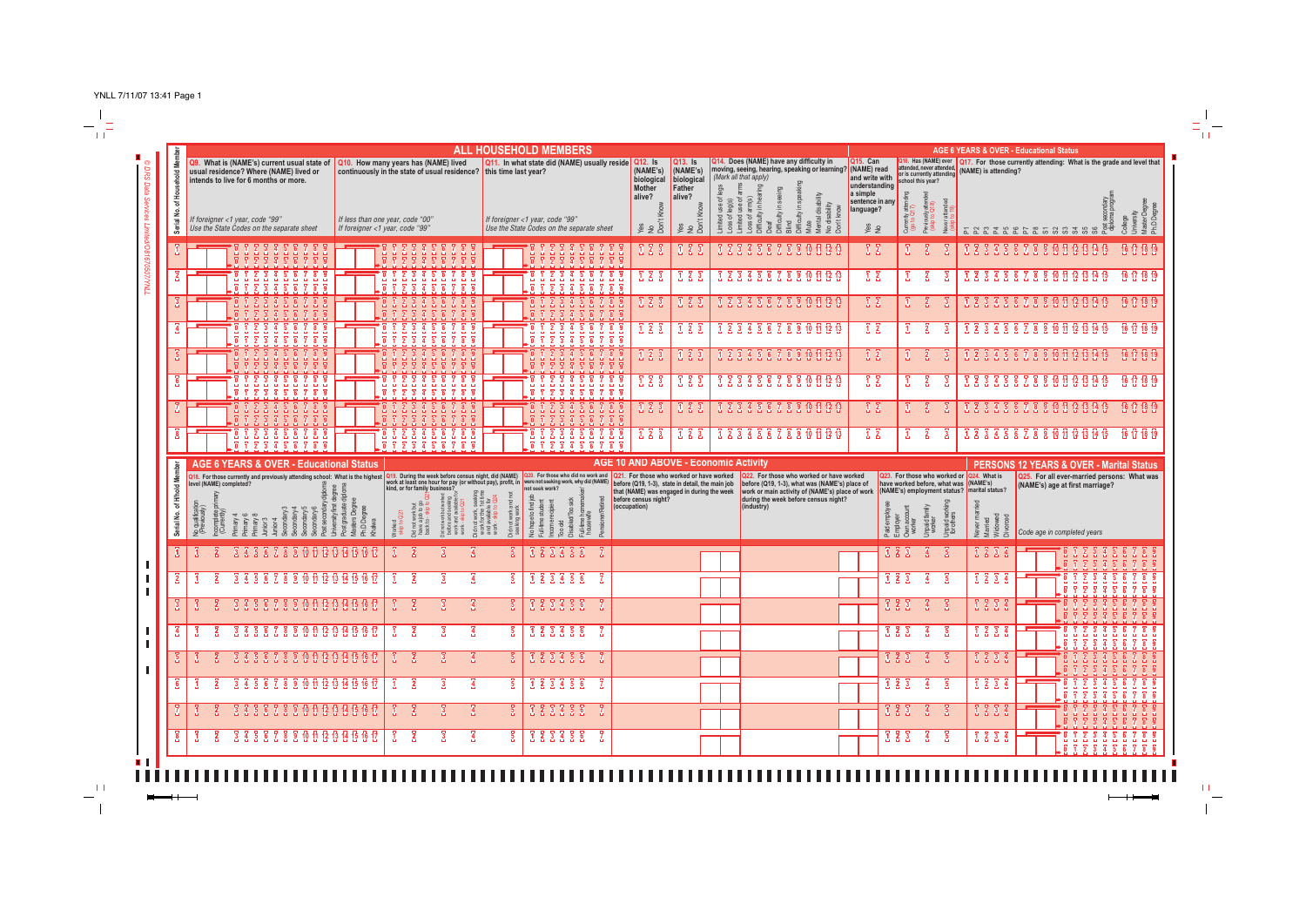

 $\pm 1$  $\overline{\phantom{m}}$ 

**Inches** 

 $\perp$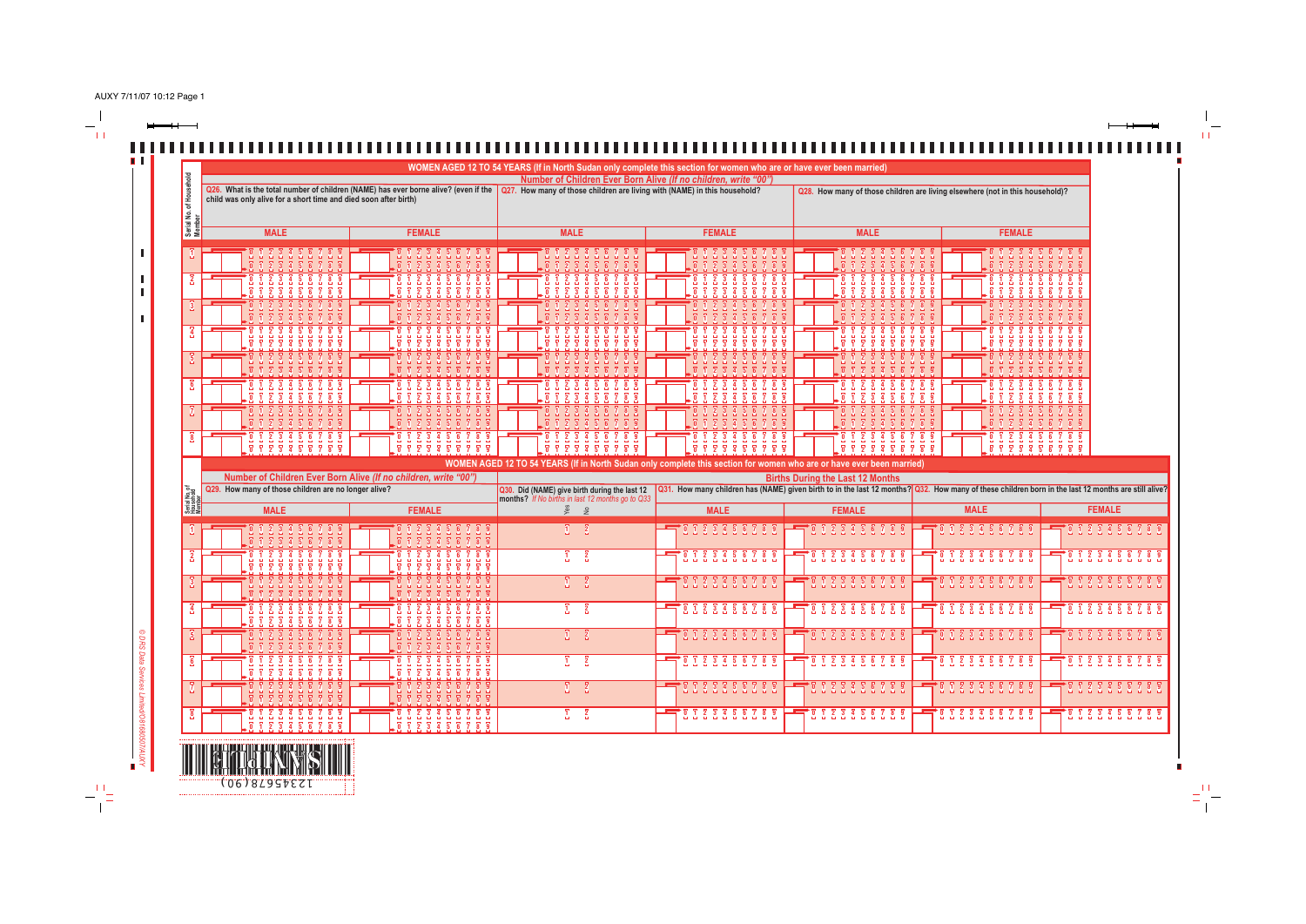AUXY 7/11/07 10:12 Page 1

 $\frac{1}{2}$